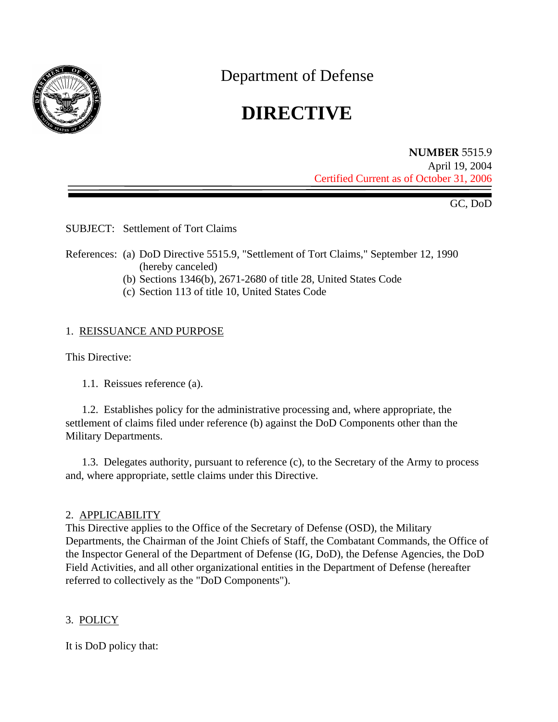

Department of Defense

# **DIRECTIVE**

**NUMBER** 5515.9 April 19, 2004 Certified Current as of October 31, 2006

GC, DoD

SUBJECT: Settlement of Tort Claims

- References: (a) DoD Directive 5515.9, "Settlement of Tort Claims," September 12, 1990 (hereby canceled)
	- (b) Sections 1346(b), 2671-2680 of title 28, United States Code
	- (c) Section 113 of title 10, United States Code

## 1. REISSUANCE AND PURPOSE

This Directive:

1.1. Reissues reference (a).

1.2. Establishes policy for the administrative processing and, where appropriate, the settlement of claims filed under reference (b) against the DoD Components other than the Military Departments.

1.3. Delegates authority, pursuant to reference (c), to the Secretary of the Army to process and, where appropriate, settle claims under this Directive.

## 2. APPLICABILITY

This Directive applies to the Office of the Secretary of Defense (OSD), the Military Departments, the Chairman of the Joint Chiefs of Staff, the Combatant Commands, the Office of the Inspector General of the Department of Defense (IG, DoD), the Defense Agencies, the DoD Field Activities, and all other organizational entities in the Department of Defense (hereafter referred to collectively as the "DoD Components").

## 3. POLICY

It is DoD policy that: